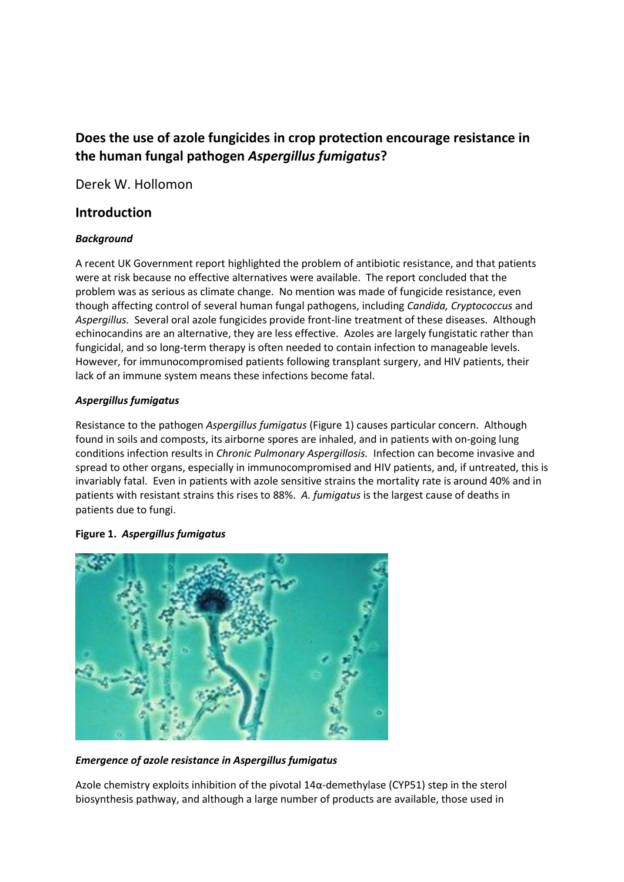# **Does the use of azole fungicides in crop protection encourage resistance in the human fungal pathogen** *Aspergillus fumigatus***?**

Derek W. Hollomon

### **Introduction**

#### *Background*

A recent UK Government report highlighted the problem of antibiotic resistance, and that patients were at risk because no effective alternatives were available. The report concluded that the problem was as serious as climate change. No mention was made of fungicide resistance, even though affecting control of several human fungal pathogens, including *Candida, Cryptococcus* and *Aspergillus.* Several oral azole fungicides provide front-line treatment of these diseases. Although echinocandins are an alternative, they are less effective. Azoles are largely fungistatic rather than fungicidal, and so long-term therapy is often needed to contain infection to manageable levels. However, for immunocompromised patients following transplant surgery, and HIV patients, their lack of an immune system means these infections become fatal.

#### *Aspergillus fumigatus*

Resistance to the pathogen *Aspergillus fumigatus* (Figure 1) causes particular concern. Although found in soils and composts, its airborne spores are inhaled, and in patients with on-going lung conditions infection results in *Chronic Pulmonary Aspergillosis.* Infection can become invasive and spread to other organs, especially in immunocompromised and HIV patients, and, if untreated, this is invariably fatal. Even in patients with azole sensitive strains the mortality rate is around 40% and in patients with resistant strains this rises to 88%. *A. fumigatus* is the largest cause of deaths in patients due to fungi.



#### **Figure 1.** *Aspergillus fumigatus*

*Emergence of azole resistance in Aspergillus fumigatus*

Azole chemistry exploits inhibition of the pivotal  $14\alpha$ -demethylase (CYP51) step in the sterol biosynthesis pathway, and although a large number of products are available, those used in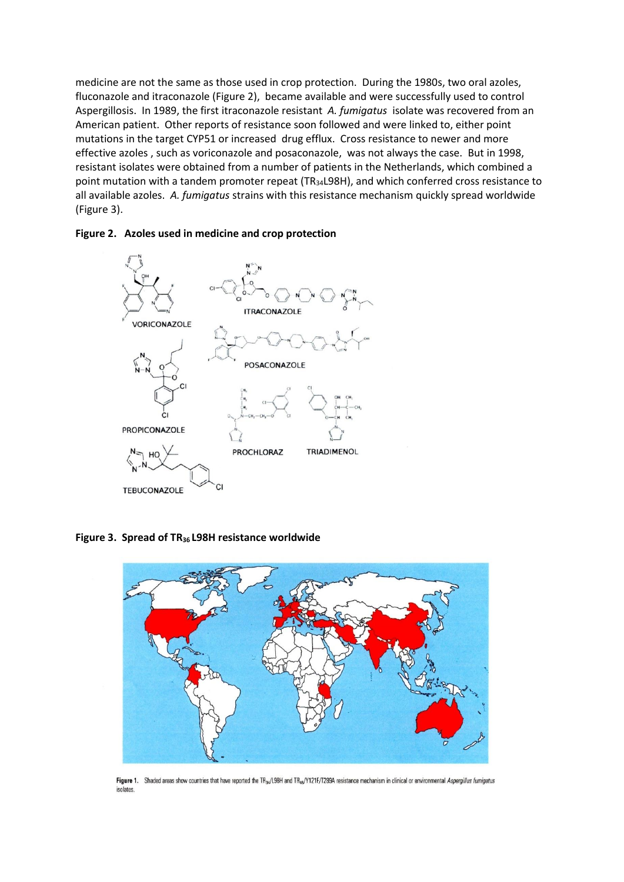medicine are not the same as those used in crop protection. During the 1980s, two oral azoles, fluconazole and itraconazole (Figure 2), became available and were successfully used to control Aspergillosis. In 1989, the first itraconazole resistant *A. fumigatus* isolate was recovered from an American patient. Other reports of resistance soon followed and were linked to, either point mutations in the target CYP51 or increased drug efflux. Cross resistance to newer and more effective azoles , such as voriconazole and posaconazole, was not always the case. But in 1998, resistant isolates were obtained from a number of patients in the Netherlands, which combined a point mutation with a tandem promoter repeat (TR<sub>34</sub>L98H), and which conferred cross resistance to all available azoles. *A. fumigatus* strains with this resistance mechanism quickly spread worldwide (Figure 3).





**Figure 3. Spread of TR36 L98H resistance worldwide**



Figure 1. Shaded areas show countries that have reported the TR<sub>34</sub>/L98H and TR<sub>46</sub>/Y121F/T289A resistance mechanism in clinical or environmental Aspergillus furnigatus isolates.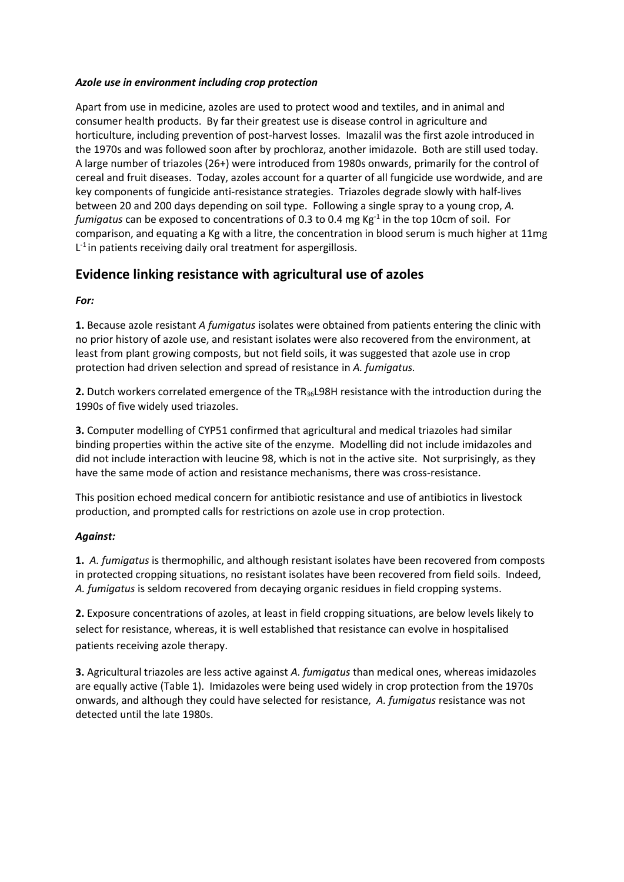#### *Azole use in environment including crop protection*

Apart from use in medicine, azoles are used to protect wood and textiles, and in animal and consumer health products. By far their greatest use is disease control in agriculture and horticulture, including prevention of post-harvest losses. Imazalil was the first azole introduced in the 1970s and was followed soon after by prochloraz, another imidazole. Both are still used today. A large number of triazoles (26+) were introduced from 1980s onwards, primarily for the control of cereal and fruit diseases. Today, azoles account for a quarter of all fungicide use wordwide, and are key components of fungicide anti-resistance strategies. Triazoles degrade slowly with half-lives between 20 and 200 days depending on soil type. Following a single spray to a young crop, *A.*  fumigatus can be exposed to concentrations of 0.3 to 0.4 mg Kg<sup>-1</sup> in the top 10cm of soil. For comparison, and equating a Kg with a litre, the concentration in blood serum is much higher at 11mg  $L<sup>-1</sup>$  in patients receiving daily oral treatment for aspergillosis.

## **Evidence linking resistance with agricultural use of azoles**

*For:* 

**1.** Because azole resistant *A fumigatus* isolates were obtained from patients entering the clinic with no prior history of azole use, and resistant isolates were also recovered from the environment, at least from plant growing composts, but not field soils, it was suggested that azole use in crop protection had driven selection and spread of resistance in *A. fumigatus.* 

**2.** Dutch workers correlated emergence of the TR36L98H resistance with the introduction during the 1990s of five widely used triazoles.

**3.** Computer modelling of CYP51 confirmed that agricultural and medical triazoles had similar binding properties within the active site of the enzyme. Modelling did not include imidazoles and did not include interaction with leucine 98, which is not in the active site. Not surprisingly, as they have the same mode of action and resistance mechanisms, there was cross-resistance.

This position echoed medical concern for antibiotic resistance and use of antibiotics in livestock production, and prompted calls for restrictions on azole use in crop protection.

#### *Against:*

**1.** *A. fumigatus* is thermophilic, and although resistant isolates have been recovered from composts in protected cropping situations, no resistant isolates have been recovered from field soils. Indeed, *A. fumigatus* is seldom recovered from decaying organic residues in field cropping systems.

**2.** Exposure concentrations of azoles, at least in field cropping situations, are below levels likely to select for resistance, whereas, it is well established that resistance can evolve in hospitalised patients receiving azole therapy.

**3.** Agricultural triazoles are less active against *A. fumigatus* than medical ones, whereas imidazoles are equally active (Table 1). Imidazoles were being used widely in crop protection from the 1970s onwards, and although they could have selected for resistance, *A. fumigatus* resistance was not detected until the late 1980s.